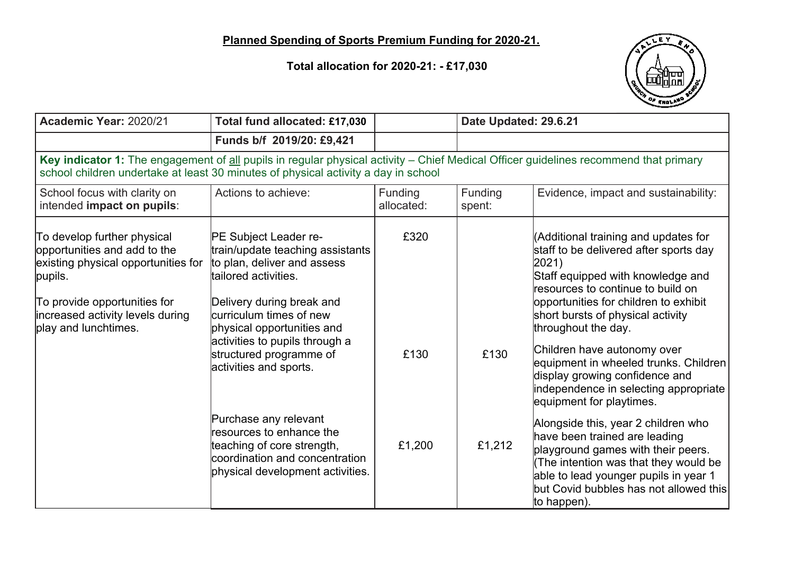**Total allocation for 2020-21: - £17,030**



| Academic Year: 2020/21                                                                                                                                                                                                     | Total fund allocated: £17,030                                                                                                                                                                                                                                                                                                                                                                                                                           |                        | Date Updated: 29.6.21 |                                                                                                                                                                                                                                                                                                                                                                                                                                                                                                                                                                                                                                                                                                                |  |
|----------------------------------------------------------------------------------------------------------------------------------------------------------------------------------------------------------------------------|---------------------------------------------------------------------------------------------------------------------------------------------------------------------------------------------------------------------------------------------------------------------------------------------------------------------------------------------------------------------------------------------------------------------------------------------------------|------------------------|-----------------------|----------------------------------------------------------------------------------------------------------------------------------------------------------------------------------------------------------------------------------------------------------------------------------------------------------------------------------------------------------------------------------------------------------------------------------------------------------------------------------------------------------------------------------------------------------------------------------------------------------------------------------------------------------------------------------------------------------------|--|
|                                                                                                                                                                                                                            | Funds b/f 2019/20: £9,421                                                                                                                                                                                                                                                                                                                                                                                                                               |                        |                       |                                                                                                                                                                                                                                                                                                                                                                                                                                                                                                                                                                                                                                                                                                                |  |
| Key indicator 1: The engagement of all pupils in regular physical activity - Chief Medical Officer guidelines recommend that primary<br>school children undertake at least 30 minutes of physical activity a day in school |                                                                                                                                                                                                                                                                                                                                                                                                                                                         |                        |                       |                                                                                                                                                                                                                                                                                                                                                                                                                                                                                                                                                                                                                                                                                                                |  |
| School focus with clarity on<br>intended impact on pupils:                                                                                                                                                                 | Actions to achieve:                                                                                                                                                                                                                                                                                                                                                                                                                                     | Funding<br>allocated:  | Funding<br>spent:     | Evidence, impact and sustainability:                                                                                                                                                                                                                                                                                                                                                                                                                                                                                                                                                                                                                                                                           |  |
| To develop further physical<br>opportunities and add to the<br>existing physical opportunities for<br>pupils.<br>To provide opportunities for<br>increased activity levels during<br>play and lunchtimes.                  | PE Subject Leader re-<br>train/update teaching assistants<br>to plan, deliver and assess<br>ltailored activities.<br>Delivery during break and<br>curriculum times of new<br>physical opportunities and<br>activities to pupils through a<br>structured programme of<br>activities and sports.<br>Purchase any relevant<br>resources to enhance the<br>teaching of core strength,<br>coordination and concentration<br>physical development activities. | £320<br>£130<br>£1,200 | £130<br>£1,212        | (Additional training and updates for<br>staff to be delivered after sports day<br>2021)<br>Staff equipped with knowledge and<br>resources to continue to build on<br>opportunities for children to exhibit<br>short bursts of physical activity<br>throughout the day.<br>Children have autonomy over<br>equipment in wheeled trunks. Children<br>display growing confidence and<br>independence in selecting appropriate<br>equipment for playtimes.<br>Alongside this, year 2 children who<br>have been trained are leading<br>playground games with their peers.<br>(The intention was that they would be<br>able to lead younger pupils in year 1<br>but Covid bubbles has not allowed this<br>to happen). |  |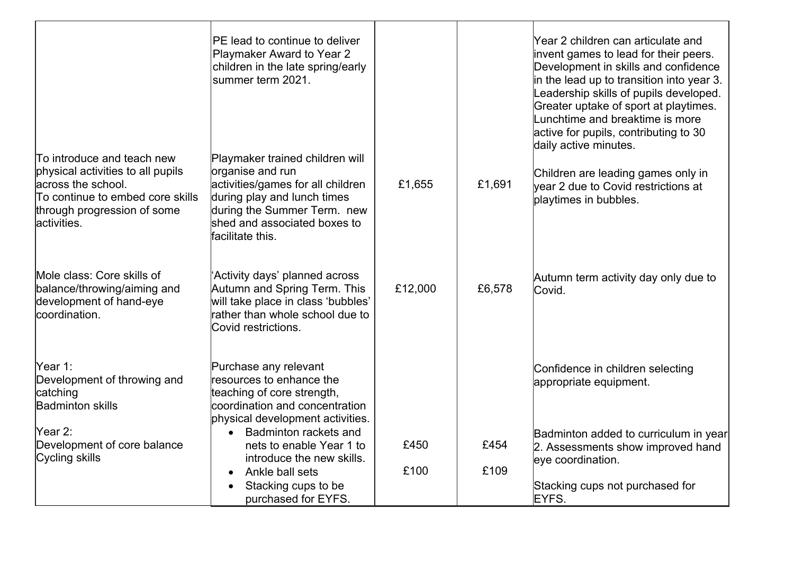|                                                                                                                                                                         | PE lead to continue to deliver<br>Playmaker Award to Year 2<br>children in the late spring/early<br>lsummer term 2021.                                                                                     |         |        | Year 2 children can articulate and<br>invent games to lead for their peers.<br>Development in skills and confidence<br>in the lead up to transition into year 3.<br>Leadership skills of pupils developed.<br>Greater uptake of sport at playtimes.<br>Lunchtime and breaktime is more<br>active for pupils, contributing to 30<br>daily active minutes. |
|-------------------------------------------------------------------------------------------------------------------------------------------------------------------------|------------------------------------------------------------------------------------------------------------------------------------------------------------------------------------------------------------|---------|--------|----------------------------------------------------------------------------------------------------------------------------------------------------------------------------------------------------------------------------------------------------------------------------------------------------------------------------------------------------------|
| To introduce and teach new<br>physical activities to all pupils<br>across the school.<br>To continue to embed core skills<br>through progression of some<br>activities. | Playmaker trained children will<br>organise and run<br>activities/games for all children<br>during play and lunch times<br>during the Summer Term. new<br>shed and associated boxes to<br>facilitate this. | £1,655  | £1,691 | Children are leading games only in<br>year 2 due to Covid restrictions at<br>playtimes in bubbles.                                                                                                                                                                                                                                                       |
| Mole class: Core skills of<br>balance/throwing/aiming and<br>development of hand-eye<br>coordination.                                                                   | 'Activity days' planned across<br>Autumn and Spring Term. This<br>will take place in class 'bubbles'<br>rather than whole school due to<br>Covid restrictions.                                             | £12,000 | £6,578 | Autumn term activity day only due to<br>Covid.                                                                                                                                                                                                                                                                                                           |
| Year 1:<br>Development of throwing and<br>catching<br><b>Badminton skills</b>                                                                                           | Purchase any relevant<br>resources to enhance the<br>teaching of core strength,<br>coordination and concentration<br>physical development activities.                                                      |         |        | Confidence in children selecting<br>appropriate equipment.                                                                                                                                                                                                                                                                                               |
| Year 2:<br>Development of core balance<br>Cycling skills                                                                                                                | Badminton rackets and<br>nets to enable Year 1 to<br>introduce the new skills.                                                                                                                             | £450    | £454   | Badminton added to curriculum in year<br>2. Assessments show improved hand<br>eye coordination.                                                                                                                                                                                                                                                          |
|                                                                                                                                                                         | Ankle ball sets<br>Stacking cups to be<br>purchased for EYFS.                                                                                                                                              | £100    | £109   | Stacking cups not purchased for<br>EYFS.                                                                                                                                                                                                                                                                                                                 |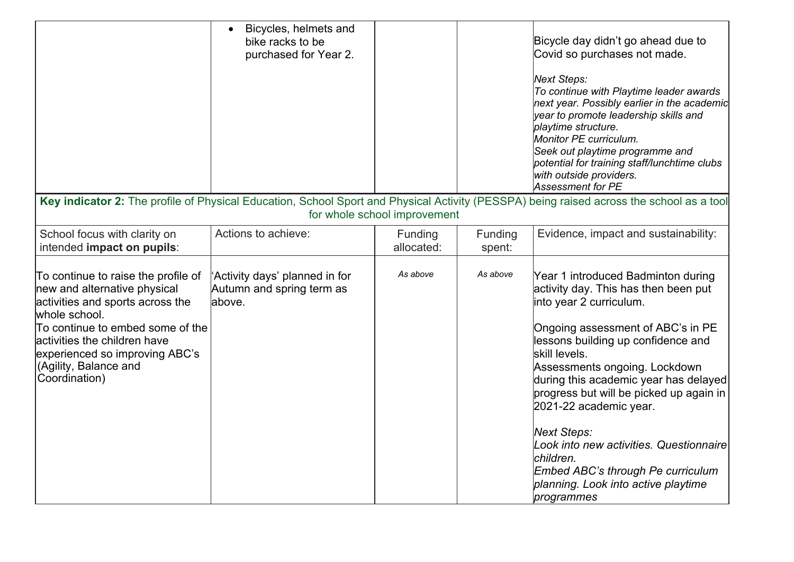|                                                                                                                                                                                                                                                                          | Bicycles, helmets and<br>bike racks to be<br>purchased for Year 2.     |                       |                   | Bicycle day didn't go ahead due to<br>Covid so purchases not made.<br>Next Steps:<br>To continue with Playtime leader awards<br>next year. Possibly earlier in the academic<br>year to promote leadership skills and<br>playtime structure.<br>Monitor PE curriculum.<br>Seek out playtime programme and<br>potential for training staff/lunchtime clubs<br>with outside providers.<br>Assessment for PE                                                                                                           |  |  |
|--------------------------------------------------------------------------------------------------------------------------------------------------------------------------------------------------------------------------------------------------------------------------|------------------------------------------------------------------------|-----------------------|-------------------|--------------------------------------------------------------------------------------------------------------------------------------------------------------------------------------------------------------------------------------------------------------------------------------------------------------------------------------------------------------------------------------------------------------------------------------------------------------------------------------------------------------------|--|--|
| Key indicator 2: The profile of Physical Education, School Sport and Physical Activity (PESSPA) being raised across the school as a tool<br>for whole school improvement                                                                                                 |                                                                        |                       |                   |                                                                                                                                                                                                                                                                                                                                                                                                                                                                                                                    |  |  |
| School focus with clarity on<br>intended impact on pupils:                                                                                                                                                                                                               | Actions to achieve:                                                    | Funding<br>allocated: | Funding<br>spent: | Evidence, impact and sustainability:                                                                                                                                                                                                                                                                                                                                                                                                                                                                               |  |  |
| To continue to raise the profile of<br>new and alternative physical<br>activities and sports across the<br>whole school.<br>To continue to embed some of the<br>activities the children have<br>experienced so improving ABC's<br>(Agility, Balance and<br>Coordination) | 'Activity days' planned in for<br>Autumn and spring term as<br>labove. | As above              | As above          | Year 1 introduced Badminton during<br>activity day. This has then been put<br>into year 2 curriculum.<br>Ongoing assessment of ABC's in PE<br>lessons building up confidence and<br>lskill levels.<br>Assessments ongoing. Lockdown<br>during this academic year has delayed<br>progress but will be picked up again in<br>2021-22 academic year.<br>Next Steps:<br>Look into new activities. Questionnaire<br>children.<br>Embed ABC's through Pe curriculum<br>planning. Look into active playtime<br>programmes |  |  |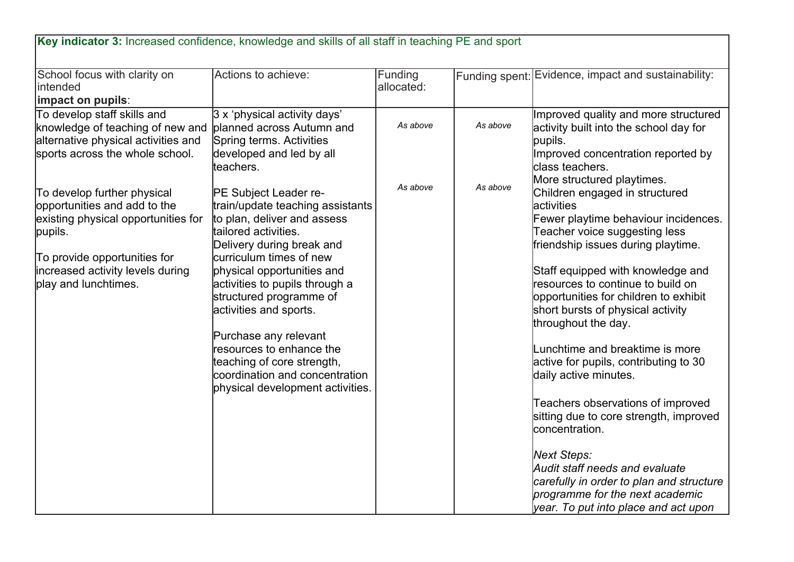| School focus with clarity on<br>intended                                                                                                                                                                  | Actions to achieve:                                                                                                                                                                                                                                                                                                                                                                                                                                    | <b>Funding</b><br>allocated: |          | Funding spent: Evidence, impact and sustainability:                                                                                                                                                                                                                                                                                                                                                                                                                                                                                                                                                                                                                                                                             |
|-----------------------------------------------------------------------------------------------------------------------------------------------------------------------------------------------------------|--------------------------------------------------------------------------------------------------------------------------------------------------------------------------------------------------------------------------------------------------------------------------------------------------------------------------------------------------------------------------------------------------------------------------------------------------------|------------------------------|----------|---------------------------------------------------------------------------------------------------------------------------------------------------------------------------------------------------------------------------------------------------------------------------------------------------------------------------------------------------------------------------------------------------------------------------------------------------------------------------------------------------------------------------------------------------------------------------------------------------------------------------------------------------------------------------------------------------------------------------------|
| impact on pupils:                                                                                                                                                                                         |                                                                                                                                                                                                                                                                                                                                                                                                                                                        |                              |          |                                                                                                                                                                                                                                                                                                                                                                                                                                                                                                                                                                                                                                                                                                                                 |
| To develop staff skills and<br>knowledge of teaching of new and<br>alternative physical activities and<br>sports across the whole school.                                                                 | $ 3 \times$ 'physical activity days'<br>planned across Autumn and<br>Spring terms. Activities<br>developed and led by all<br>teachers.                                                                                                                                                                                                                                                                                                                 | As above                     | As above | Improved quality and more structured<br>activity built into the school day for<br>pupils.<br>Improved concentration reported by<br>class teachers.<br>More structured playtimes.                                                                                                                                                                                                                                                                                                                                                                                                                                                                                                                                                |
| To develop further physical<br>opportunities and add to the<br>existing physical opportunities for<br>pupils.<br>To provide opportunities for<br>increased activity levels during<br>play and lunchtimes. | PE Subject Leader re-<br>train/update teaching assistants<br>to plan, deliver and assess<br>tailored activities.<br>Delivery during break and<br>curriculum times of new<br>physical opportunities and<br>activities to pupils through a<br>structured programme of<br>activities and sports.<br>Purchase any relevant<br>resources to enhance the<br>teaching of core strength,<br>coordination and concentration<br>physical development activities. | As above                     | As above | Children engaged in structured<br>activities<br>Fewer playtime behaviour incidences.<br>Teacher voice suggesting less<br>friendship issues during playtime.<br>Staff equipped with knowledge and<br>resources to continue to build on<br>opportunities for children to exhibit<br>short bursts of physical activity<br>throughout the day.<br>Lunchtime and breaktime is more<br>active for pupils, contributing to 30<br>daily active minutes.<br>Teachers observations of improved<br>sitting due to core strength, improved<br>concentration.<br><b>Next Steps:</b><br>Audit staff needs and evaluate<br>carefully in order to plan and structure<br>programme for the next academic<br>year. To put into place and act upon |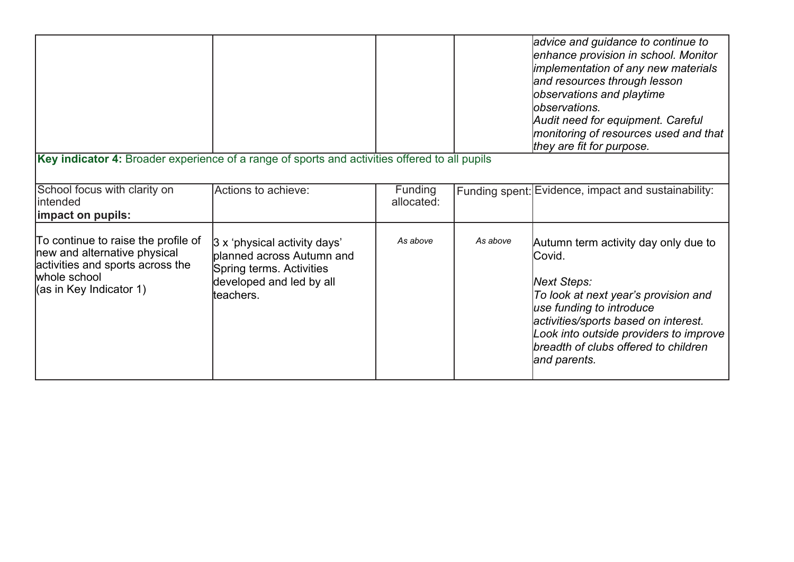| Key indicator 4: Broader experience of a range of sports and activities offered to all pupils                                                      |                                                                                                                                |                       |          | advice and guidance to continue to<br>enhance provision in school. Monitor<br>implementation of any new materials<br>and resources through lesson<br>observations and playtime<br>lobservations.<br>Audit need for equipment. Careful<br>monitoring of resources used and that<br>they are fit for purpose. |
|----------------------------------------------------------------------------------------------------------------------------------------------------|--------------------------------------------------------------------------------------------------------------------------------|-----------------------|----------|-------------------------------------------------------------------------------------------------------------------------------------------------------------------------------------------------------------------------------------------------------------------------------------------------------------|
|                                                                                                                                                    |                                                                                                                                |                       |          |                                                                                                                                                                                                                                                                                                             |
| School focus with clarity on<br>intended                                                                                                           | Actions to achieve:                                                                                                            | Funding<br>allocated: |          | Funding spent: Evidence, impact and sustainability:                                                                                                                                                                                                                                                         |
| impact on pupils:                                                                                                                                  |                                                                                                                                |                       |          |                                                                                                                                                                                                                                                                                                             |
| To continue to raise the profile of<br>new and alternative physical<br>activities and sports across the<br>whole school<br>(as in Key Indicator 1) | 3 x 'physical activity days'<br>planned across Autumn and<br>Spring terms. Activities<br>developed and led by all<br>teachers. | As above              | As above | Autumn term activity day only due to<br> Covid.<br>Next Steps:<br>To look at next year's provision and<br>use funding to introduce<br>activities/sports based on interest.<br>Look into outside providers to improve<br>breadth of clubs offered to children<br>and parents.                                |